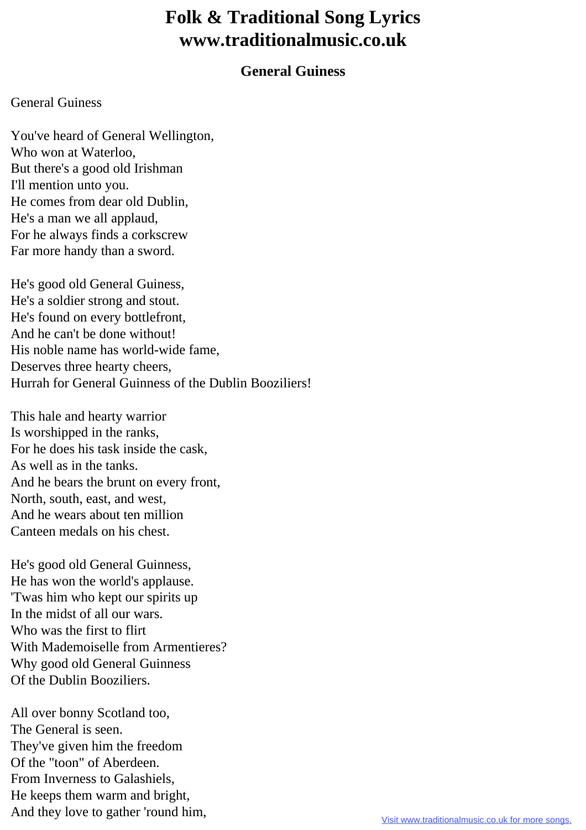## **Folk & Traditional Song Lyrics www.traditionalmusic.co.uk**

## **General Guiness**

## General Guiness

You've heard of General Wellington, Who won at Waterloo, But there's a good old Irishman I'll mention unto you. He comes from dear old Dublin, He's a man we all applaud, For he always finds a corkscrew Far more handy than a sword.

He's good old General Guiness, He's a soldier strong and stout. He's found on every bottlefront, And he can't be done without! His noble name has world-wide fame, Deserves three hearty cheers, Hurrah for General Guinness of the Dublin Booziliers!

This hale and hearty warrior Is worshipped in the ranks, For he does his task inside the cask, As well as in the tanks. And he bears the brunt on every front, North, south, east, and west, And he wears about ten million Canteen medals on his chest.

He's good old General Guinness, He has won the world's applause. 'Twas him who kept our spirits up In the midst of all our wars. Who was the first to flirt With Mademoiselle from Armentieres? Why good old General Guinness Of the Dublin Booziliers.

All over bonny Scotland too, The General is seen. They've given him the freedom Of the "toon" of Aberdeen. From Inverness to Galashiels, He keeps them warm and bright, And they love to gather 'round him,